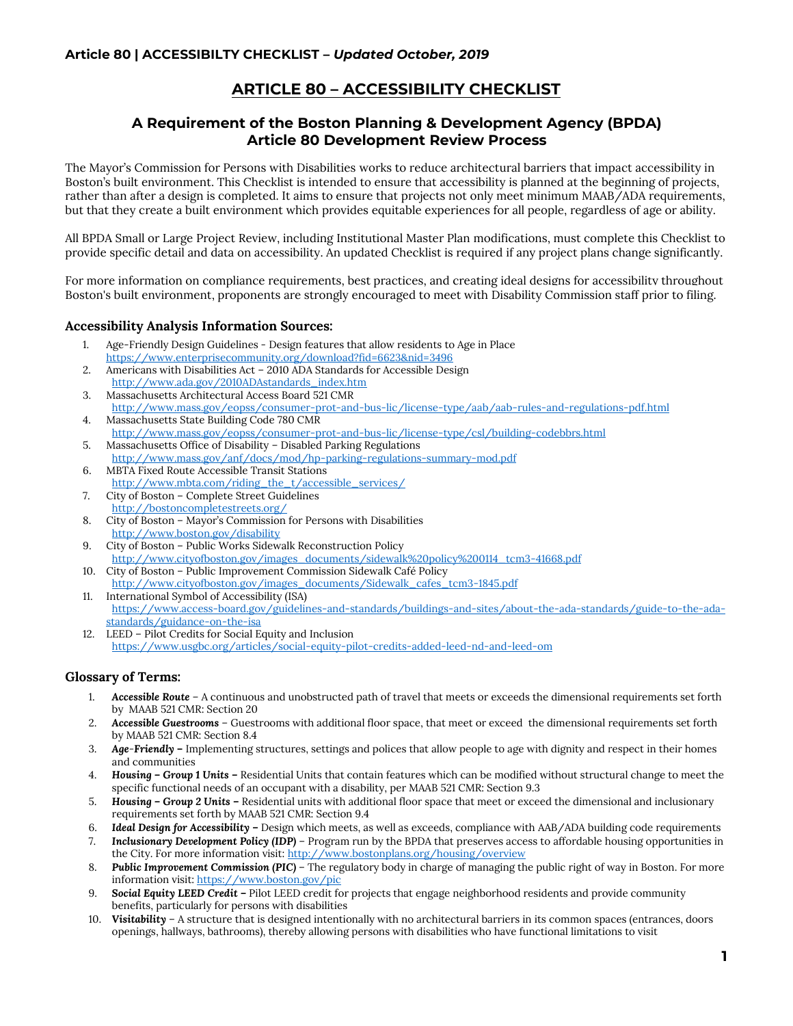# **ARTICLE 80 – ACCESSIBILITY CHECKLIST**

### **A Requirement of the Boston Planning & Development Agency (BPDA) Article 80 Development Review Process**

The Mayor's Commission for Persons with Disabilities works to reduce architectural barriers that impact accessibility in Boston's built environment. This Checklist is intended to ensure that accessibility is planned at the beginning of projects, rather than after a design is completed. It aims to ensure that projects not only meet minimum MAAB/ADA requirements, but that they create a built environment which provides equitable experiences for all people, regardless of age or ability.

All BPDA Small or Large Project Review, including Institutional Master Plan modifications, must complete this Checklist to provide specific detail and data on accessibility. An updated Checklist is required if any project plans change significantly.

For more information on compliance requirements, best practices, and creating ideal designs for accessibility throughout Boston's built environment, proponents are strongly encouraged to meet with Disability Commission staff prior to filing.

#### **Accessibility Analysis Information Sources:**

- 1. Age-Friendly Design Guidelines Design features that allow residents to Age in Place <https://www.enterprisecommunity.org/download?fid=6623&nid=3496>
- 2. Americans with Disabilities Act 2010 ADA Standards for Accessible Design [http://www.ada.gov/2010ADAstandards\\_index.htm](http://www.ada.gov/2010ADAstandards_index.htm)
- 3. Massachusetts Architectural Access Board 521 CMR
- <http://www.mass.gov/eopss/consumer-prot-and-bus-lic/license-type/aab/aab-rules-and-regulations-pdf.html> 4. Massachusetts State Building Code 780 CMR
- <http://www.mass.gov/eopss/consumer-prot-and-bus-lic/license-type/csl/building-codebbrs.html> 5. Massachusetts Office of Disability – Disabled Parking Regulations
- <http://www.mass.gov/anf/docs/mod/hp-parking-regulations-summary-mod.pdf> 6. MBTA Fixed Route Accessible Transit Stations
- [http://www.mbta.com/riding\\_the\\_t/accessible\\_services/](http://www.mbta.com/riding_the_t/accessible_services/) 7. City of Boston – Complete Street Guidelines
- <http://bostoncompletestreets.org/> 8. City of Boston – Mayor's Commission for Persons with Disabilities
- <http://www.boston.gov/disability> 9. City of Boston – Public Works Sidewalk Reconstruction Policy [http://www.cityofboston.gov/images\\_documents/sidewalk%20policy%200114\\_tcm3-41668.pdf](http://www.cityofboston.gov/images_documents/sidewalk%20policy%200114_tcm3-41668.pdf)
- 10. City of Boston Public Improvement Commission Sidewalk Café Policy [http://www.cityofboston.gov/images\\_documents/Sidewalk\\_cafes\\_tcm3-1845.pdf](http://www.cityofboston.gov/images_documents/Sidewalk_cafes_tcm3-1845.pdf)
- 11. International Symbol of Accessibility (ISA) [https://www.access-board.gov/guidelines-and-standards/buildings-and-sites/about-the-ada-standards/guide-to-the-ada](https://www.access-board.gov/guidelines-and-standards/buildings-and-sites/about-the-ada-standards/guide-to-the-ada-standards/guidance-on-the-isa)[standards/guidance-on-the-isa](https://www.access-board.gov/guidelines-and-standards/buildings-and-sites/about-the-ada-standards/guide-to-the-ada-standards/guidance-on-the-isa)
- 12. LEED Pilot Credits for Social Equity and Inclusion <https://www.usgbc.org/articles/social-equity-pilot-credits-added-leed-nd-and-leed-om>

#### **Glossary of Terms:**

- 1. *Accessible Route* A continuous and unobstructed path of travel that meets or exceeds the dimensional requirements set forth by MAAB 521 CMR: Section 20
- 2. *Accessible Guestrooms* Guestrooms with additional floor space, that meet or exceed the dimensional requirements set forth by MAAB 521 CMR: Section 8.4
- 3. *Age-Friendly* **–** Implementing structures, settings and polices that allow people to age with dignity and respect in their homes and communities
- 4. *Housing – Group 1 Units –* Residential Units that contain features which can be modified without structural change to meet the specific functional needs of an occupant with a disability, per MAAB 521 CMR: Section 9.3
- 5. *Housing – Group 2 Units* **–** Residential units with additional floor space that meet or exceed the dimensional and inclusionary requirements set forth by MAAB 521 CMR: Section 9.4
- 6. *Ideal Design for Accessibility –* Design which meets, as well as exceeds, compliance with AAB/ADA building code requirements
- 7. *Inclusionary Development Policy (IDP)* Program run by the BPDA that preserves access to affordable housing opportunities in the City. For more information visit:<http://www.bostonplans.org/housing/overview>
- 8. *Public Improvement Commission (PIC)* The regulatory body in charge of managing the public right of way in Boston. For more information visit[: https://www.boston.gov/pic](https://www.boston.gov/pic)
- 9. *Social Equity LEED Credit –* Pilot LEED credit for projects that engage neighborhood residents and provide community benefits, particularly for persons with disabilities
- 10. *Visitability* A structure that is designed intentionally with no architectural barriers in its common spaces (entrances, doors openings, hallways, bathrooms), thereby allowing persons with disabilities who have functional limitations to visit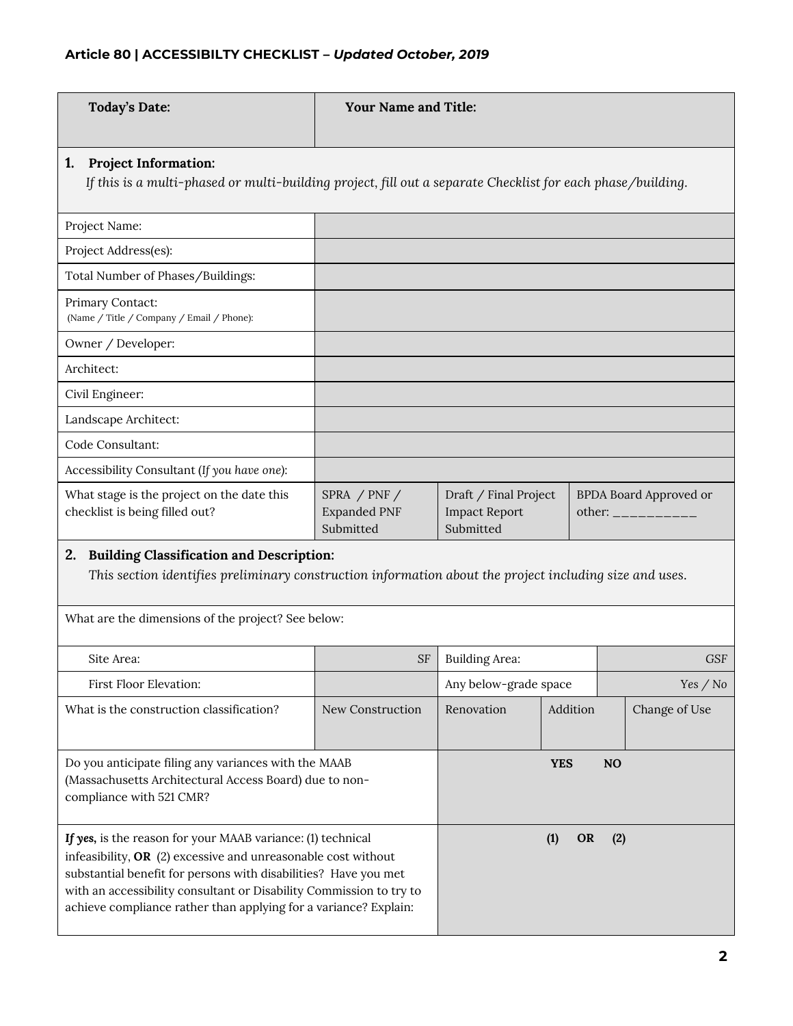| <b>Today's Date:</b>                                                                                                                                                                                                                                                                                                                         | <b>Your Name and Title:</b>                                                                                 |                                                                                                                  |                  |           |               |
|----------------------------------------------------------------------------------------------------------------------------------------------------------------------------------------------------------------------------------------------------------------------------------------------------------------------------------------------|-------------------------------------------------------------------------------------------------------------|------------------------------------------------------------------------------------------------------------------|------------------|-----------|---------------|
| <b>Project Information:</b><br>1.                                                                                                                                                                                                                                                                                                            | If this is a multi-phased or multi-building project, fill out a separate Checklist for each phase/building. |                                                                                                                  |                  |           |               |
| Project Name:                                                                                                                                                                                                                                                                                                                                |                                                                                                             |                                                                                                                  |                  |           |               |
| Project Address(es):                                                                                                                                                                                                                                                                                                                         |                                                                                                             |                                                                                                                  |                  |           |               |
| Total Number of Phases/Buildings:                                                                                                                                                                                                                                                                                                            |                                                                                                             |                                                                                                                  |                  |           |               |
| Primary Contact:<br>(Name / Title / Company / Email / Phone):                                                                                                                                                                                                                                                                                |                                                                                                             |                                                                                                                  |                  |           |               |
| Owner / Developer:                                                                                                                                                                                                                                                                                                                           |                                                                                                             |                                                                                                                  |                  |           |               |
| Architect:                                                                                                                                                                                                                                                                                                                                   |                                                                                                             |                                                                                                                  |                  |           |               |
| Civil Engineer:                                                                                                                                                                                                                                                                                                                              |                                                                                                             |                                                                                                                  |                  |           |               |
| Landscape Architect:                                                                                                                                                                                                                                                                                                                         |                                                                                                             |                                                                                                                  |                  |           |               |
| Code Consultant:                                                                                                                                                                                                                                                                                                                             |                                                                                                             |                                                                                                                  |                  |           |               |
| Accessibility Consultant (If you have one):                                                                                                                                                                                                                                                                                                  |                                                                                                             |                                                                                                                  |                  |           |               |
| What stage is the project on the date this<br>checklist is being filled out?                                                                                                                                                                                                                                                                 | SPRA / $PNF$ /<br><b>Expanded PNF</b><br>Submitted                                                          | Draft / Final Project<br><b>BPDA Board Approved or</b><br><b>Impact Report</b><br>other: __________<br>Submitted |                  |           |               |
| <b>Building Classification and Description:</b><br><sup>2.</sup><br>This section identifies preliminary construction information about the project including size and uses.                                                                                                                                                                  |                                                                                                             |                                                                                                                  |                  |           |               |
| What are the dimensions of the project? See below:                                                                                                                                                                                                                                                                                           |                                                                                                             |                                                                                                                  |                  |           |               |
| Site Area:                                                                                                                                                                                                                                                                                                                                   | <b>SF</b>                                                                                                   | <b>Building Area:</b>                                                                                            |                  |           | <b>GSF</b>    |
| First Floor Elevation:                                                                                                                                                                                                                                                                                                                       |                                                                                                             | Any below-grade space                                                                                            |                  |           | Yes / No      |
| What is the construction classification?                                                                                                                                                                                                                                                                                                     | New Construction                                                                                            | Renovation                                                                                                       | Addition         |           | Change of Use |
| Do you anticipate filing any variances with the MAAB<br>(Massachusetts Architectural Access Board) due to non-<br>compliance with 521 CMR?                                                                                                                                                                                                   |                                                                                                             |                                                                                                                  | <b>YES</b>       | <b>NO</b> |               |
| If yes, is the reason for your MAAB variance: (1) technical<br>infeasibility, $OR$ (2) excessive and unreasonable cost without<br>substantial benefit for persons with disabilities? Have you met<br>with an accessibility consultant or Disability Commission to try to<br>achieve compliance rather than applying for a variance? Explain: |                                                                                                             |                                                                                                                  | (1)<br><b>OR</b> | (2)       |               |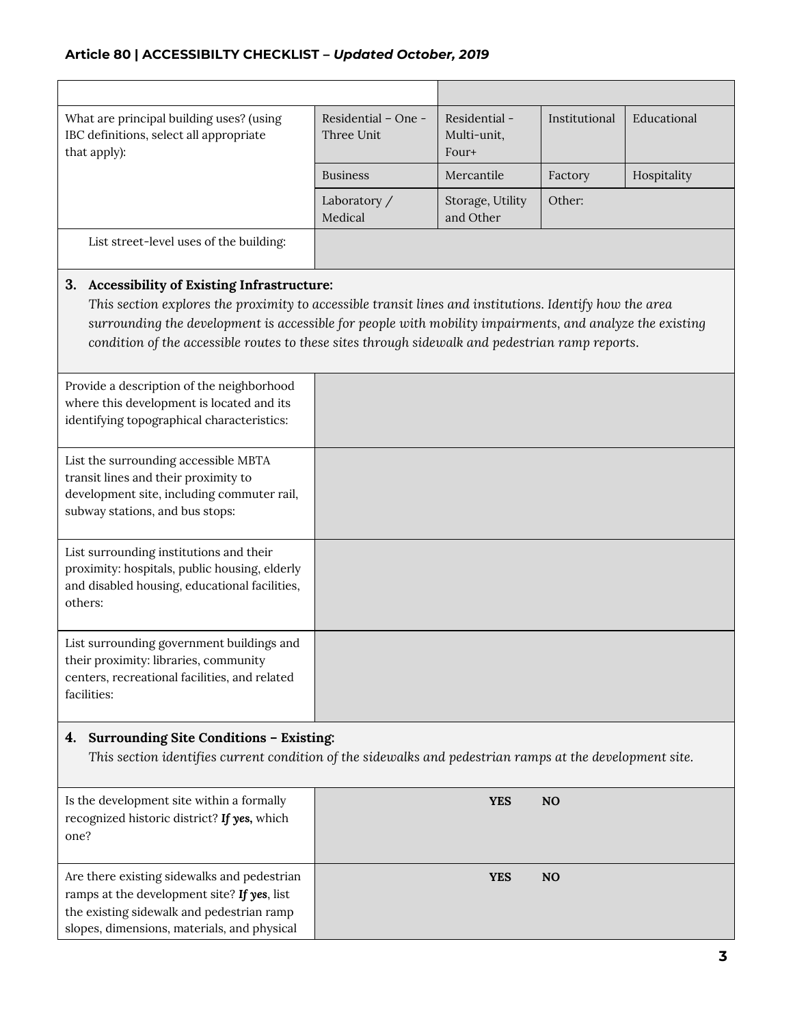| What are principal building uses? (using<br>IBC definitions, select all appropriate<br>that apply):                                                                                                                                                                                                                                                                    | Residential - One -<br>Three Unit | Residential -<br>Multi-unit,<br>Four+ | Institutional  | Educational |
|------------------------------------------------------------------------------------------------------------------------------------------------------------------------------------------------------------------------------------------------------------------------------------------------------------------------------------------------------------------------|-----------------------------------|---------------------------------------|----------------|-------------|
|                                                                                                                                                                                                                                                                                                                                                                        | <b>Business</b>                   | Mercantile                            | Factory        | Hospitality |
|                                                                                                                                                                                                                                                                                                                                                                        | Laboratory /<br>Medical           | Storage, Utility<br>and Other         | Other:         |             |
| List street-level uses of the building:                                                                                                                                                                                                                                                                                                                                |                                   |                                       |                |             |
| 3. Accessibility of Existing Infrastructure:<br>This section explores the proximity to accessible transit lines and institutions. Identify how the area<br>surrounding the development is accessible for people with mobility impairments, and analyze the existing<br>condition of the accessible routes to these sites through sidewalk and pedestrian ramp reports. |                                   |                                       |                |             |
| Provide a description of the neighborhood<br>where this development is located and its<br>identifying topographical characteristics:                                                                                                                                                                                                                                   |                                   |                                       |                |             |
| List the surrounding accessible MBTA<br>transit lines and their proximity to<br>development site, including commuter rail,<br>subway stations, and bus stops:                                                                                                                                                                                                          |                                   |                                       |                |             |
| List surrounding institutions and their<br>proximity: hospitals, public housing, elderly<br>and disabled housing, educational facilities,<br>others:                                                                                                                                                                                                                   |                                   |                                       |                |             |
| List surrounding government buildings and<br>their proximity: libraries, community<br>centers, recreational facilities, and related<br>facilities:                                                                                                                                                                                                                     |                                   |                                       |                |             |
| Surrounding Site Conditions - Existing:<br>4.<br>This section identifies current condition of the sidewalks and pedestrian ramps at the development site.                                                                                                                                                                                                              |                                   |                                       |                |             |
| Is the development site within a formally<br>recognized historic district? If yes, which<br>one?                                                                                                                                                                                                                                                                       |                                   | <b>YES</b>                            | N <sub>O</sub> |             |
| Are there existing sidewalks and pedestrian<br>ramps at the development site? If yes, list<br>the existing sidewalk and pedestrian ramp<br>slopes, dimensions, materials, and physical                                                                                                                                                                                 |                                   | <b>YES</b>                            | NO             |             |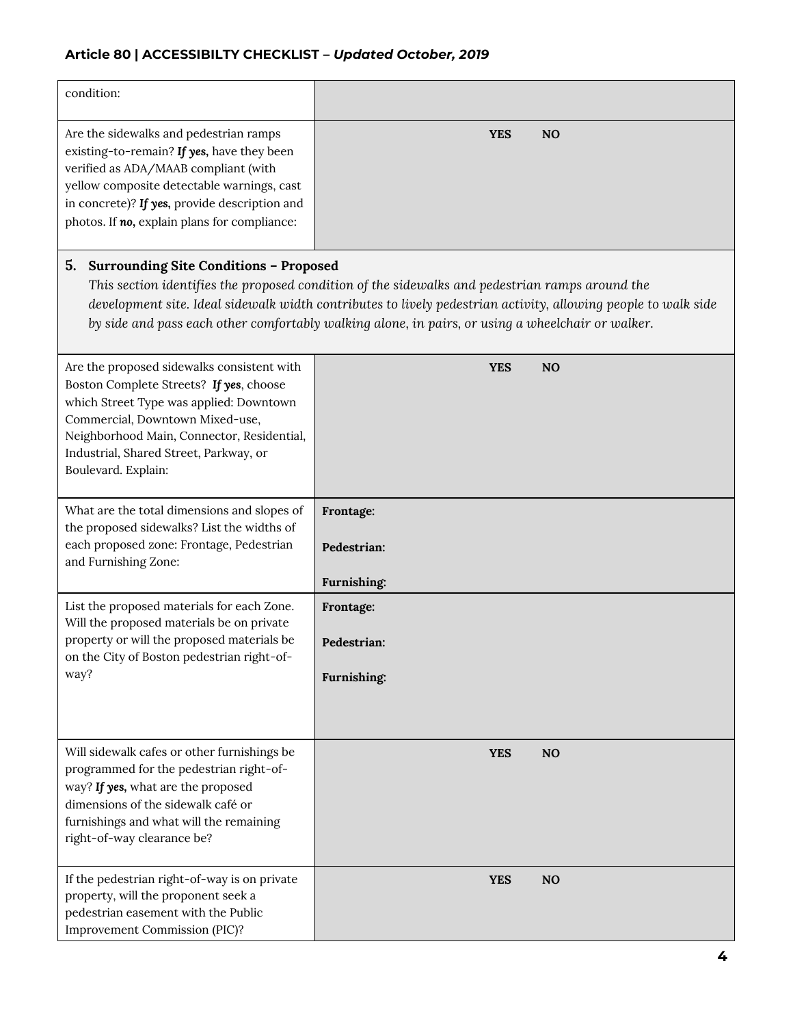| condition:                                                                                                                                                                                                                                                                                                                                                                    |                                         |  |  |
|-------------------------------------------------------------------------------------------------------------------------------------------------------------------------------------------------------------------------------------------------------------------------------------------------------------------------------------------------------------------------------|-----------------------------------------|--|--|
| Are the sidewalks and pedestrian ramps<br>existing-to-remain? If yes, have they been<br>verified as ADA/MAAB compliant (with<br>yellow composite detectable warnings, cast<br>in concrete)? If yes, provide description and<br>photos. If no, explain plans for compliance:                                                                                                   | <b>YES</b><br>N <sub>O</sub>            |  |  |
| 5.<br><b>Surrounding Site Conditions - Proposed</b><br>This section identifies the proposed condition of the sidewalks and pedestrian ramps around the<br>development site. Ideal sidewalk width contributes to lively pedestrian activity, allowing people to walk side<br>by side and pass each other comfortably walking alone, in pairs, or using a wheelchair or walker. |                                         |  |  |
| Are the proposed sidewalks consistent with<br>Boston Complete Streets? If yes, choose<br>which Street Type was applied: Downtown<br>Commercial, Downtown Mixed-use,<br>Neighborhood Main, Connector, Residential,<br>Industrial, Shared Street, Parkway, or<br>Boulevard. Explain:                                                                                            | <b>YES</b><br>N <sub>O</sub>            |  |  |
| What are the total dimensions and slopes of<br>the proposed sidewalks? List the widths of<br>each proposed zone: Frontage, Pedestrian<br>and Furnishing Zone:                                                                                                                                                                                                                 | Frontage:<br>Pedestrian:<br>Furnishing: |  |  |
| List the proposed materials for each Zone.<br>Will the proposed materials be on private<br>property or will the proposed materials be<br>on the City of Boston pedestrian right-of-<br>way?                                                                                                                                                                                   | Frontage:<br>Pedestrian:<br>Furnishing: |  |  |
| Will sidewalk cafes or other furnishings be<br>programmed for the pedestrian right-of-<br>way? If yes, what are the proposed<br>dimensions of the sidewalk café or<br>furnishings and what will the remaining<br>right-of-way clearance be?                                                                                                                                   | <b>YES</b><br>N <sub>O</sub>            |  |  |
| If the pedestrian right-of-way is on private<br>property, will the proponent seek a<br>pedestrian easement with the Public<br>Improvement Commission (PIC)?                                                                                                                                                                                                                   | <b>YES</b><br>N <sub>O</sub>            |  |  |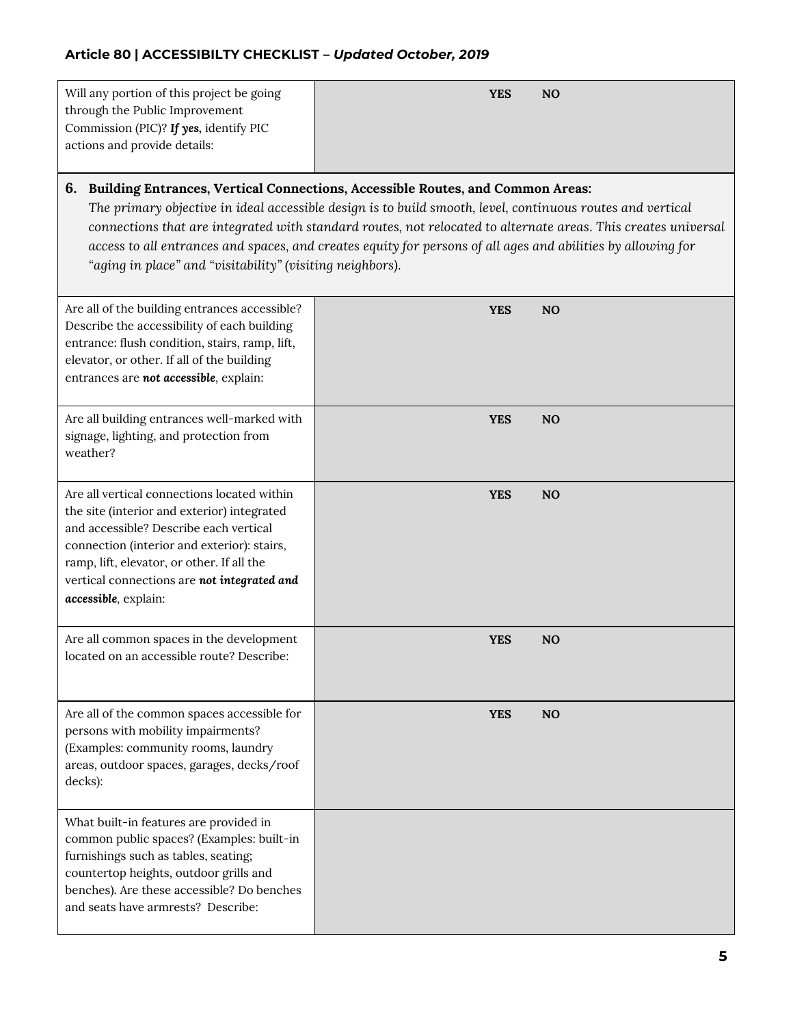| Will any portion of this project be going<br>through the Public Improvement<br>Commission (PIC)? If yes, identify PIC<br>actions and provide details:                                                                                                                                                                                                                                                                                                                                          | <b>YES</b> | N <sub>O</sub> |  |
|------------------------------------------------------------------------------------------------------------------------------------------------------------------------------------------------------------------------------------------------------------------------------------------------------------------------------------------------------------------------------------------------------------------------------------------------------------------------------------------------|------------|----------------|--|
| 6. Building Entrances, Vertical Connections, Accessible Routes, and Common Areas:<br>The primary objective in ideal accessible design is to build smooth, level, continuous routes and vertical<br>connections that are integrated with standard routes, not relocated to alternate areas. This creates universal<br>access to all entrances and spaces, and creates equity for persons of all ages and abilities by allowing for<br>"aging in place" and "visitability" (visiting neighbors). |            |                |  |
| Are all of the building entrances accessible?<br>Describe the accessibility of each building<br>entrance: flush condition, stairs, ramp, lift,<br>elevator, or other. If all of the building<br>entrances are not accessible, explain:                                                                                                                                                                                                                                                         | <b>YES</b> | <b>NO</b>      |  |
| Are all building entrances well-marked with<br>signage, lighting, and protection from<br>weather?                                                                                                                                                                                                                                                                                                                                                                                              | <b>YES</b> | N <sub>O</sub> |  |
| Are all vertical connections located within<br>the site (interior and exterior) integrated<br>and accessible? Describe each vertical<br>connection (interior and exterior): stairs,<br>ramp, lift, elevator, or other. If all the<br>vertical connections are not integrated and<br>accessible, explain:                                                                                                                                                                                       | <b>YES</b> | N <sub>O</sub> |  |
| Are all common spaces in the development<br>located on an accessible route? Describe:                                                                                                                                                                                                                                                                                                                                                                                                          | <b>YES</b> | N <sub>O</sub> |  |

**YES NO**

What built-in features are provided in common public spaces? (Examples: built-in furnishings such as tables, seating; countertop heights, outdoor grills and benches). Are these accessible? Do benches and seats have armrests? Describe:

Are all of the common spaces accessible for

persons with mobility impairments? (Examples: community rooms, laundry areas, outdoor spaces, garages, decks/roof

decks):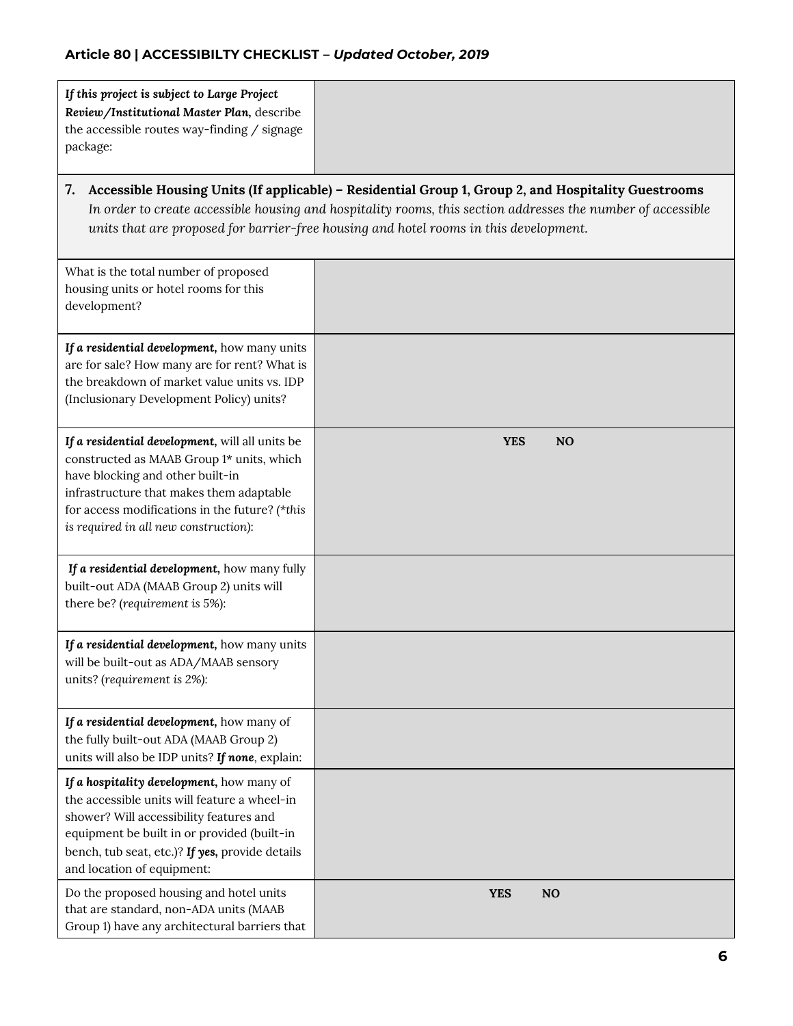| If this project is subject to Large Project<br>Review/Institutional Master Plan, describe<br>the accessible routes way-finding / signage<br>package:                                                                                                                    |                                                                                                                                                                                                                                                                                                              |
|-------------------------------------------------------------------------------------------------------------------------------------------------------------------------------------------------------------------------------------------------------------------------|--------------------------------------------------------------------------------------------------------------------------------------------------------------------------------------------------------------------------------------------------------------------------------------------------------------|
| 7.                                                                                                                                                                                                                                                                      | Accessible Housing Units (If applicable) - Residential Group 1, Group 2, and Hospitality Guestrooms<br>In order to create accessible housing and hospitality rooms, this section addresses the number of accessible<br>units that are proposed for barrier-free housing and hotel rooms in this development. |
| What is the total number of proposed<br>housing units or hotel rooms for this<br>development?                                                                                                                                                                           |                                                                                                                                                                                                                                                                                                              |
| If a residential development, how many units<br>are for sale? How many are for rent? What is<br>the breakdown of market value units vs. IDP<br>(Inclusionary Development Policy) units?                                                                                 |                                                                                                                                                                                                                                                                                                              |
| If a residential development, will all units be<br>constructed as MAAB Group 1* units, which<br>have blocking and other built-in<br>infrastructure that makes them adaptable<br>for access modifications in the future? (*this<br>is required in all new construction): | <b>YES</b><br>N <sub>O</sub>                                                                                                                                                                                                                                                                                 |
| If a residential development, how many fully<br>built-out ADA (MAAB Group 2) units will<br>there be? (requirement is 5%):                                                                                                                                               |                                                                                                                                                                                                                                                                                                              |
| If a residential development, how many units<br>will be built-out as ADA/MAAB sensory<br>units? (requirement is 2%):                                                                                                                                                    |                                                                                                                                                                                                                                                                                                              |
| If a residential development, how many of<br>the fully built-out ADA (MAAB Group 2)<br>units will also be IDP units? If none, explain:                                                                                                                                  |                                                                                                                                                                                                                                                                                                              |
| If a hospitality development, how many of<br>the accessible units will feature a wheel-in<br>shower? Will accessibility features and<br>equipment be built in or provided (built-in<br>bench, tub seat, etc.)? If yes, provide details<br>and location of equipment:    |                                                                                                                                                                                                                                                                                                              |
| Do the proposed housing and hotel units<br>that are standard, non-ADA units (MAAB<br>Group 1) have any architectural barriers that                                                                                                                                      | <b>YES</b><br>NO                                                                                                                                                                                                                                                                                             |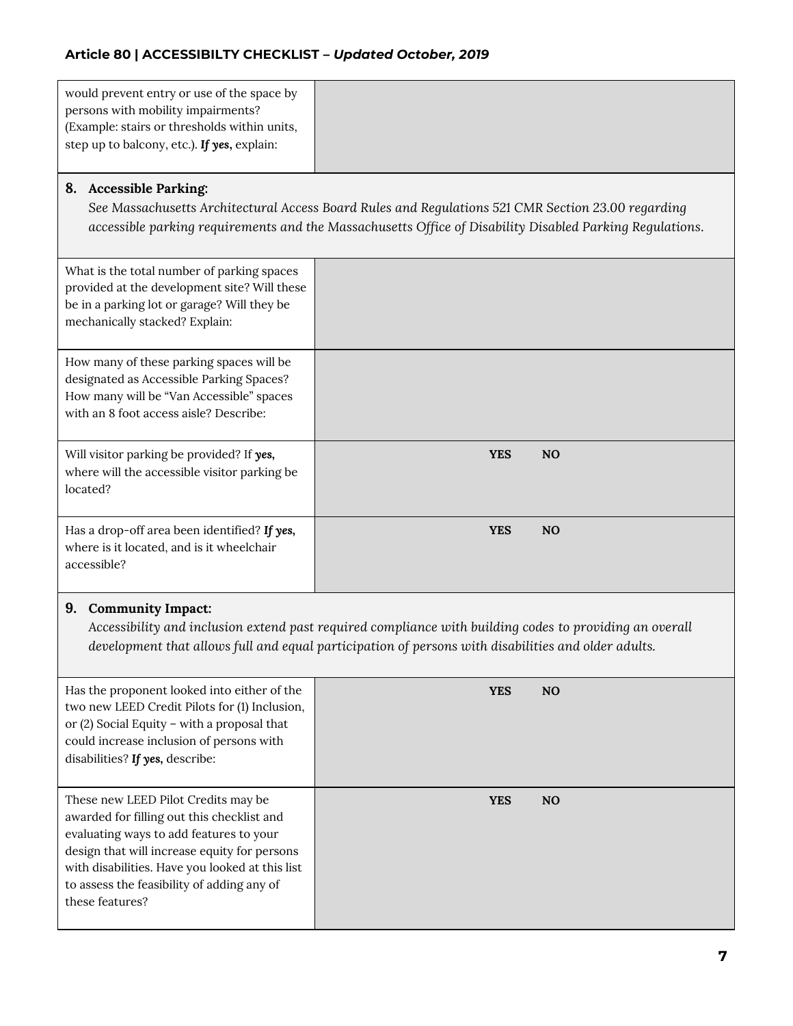| would prevent entry or use of the space by   |  |
|----------------------------------------------|--|
| persons with mobility impairments?           |  |
| (Example: stairs or thresholds within units, |  |
| step up to balcony, etc.). If yes, explain:  |  |
|                                              |  |

### **8. Accessible Parking:**

*See Massachusetts Architectural Access Board Rules and Regulations 521 CMR Section 23.00 regarding accessible parking requirements and the Massachusetts Office of Disability Disabled Parking Regulations*.

| What is the total number of parking spaces<br>provided at the development site? Will these<br>be in a parking lot or garage? Will they be<br>mechanically stacked? Explain: |            |           |
|-----------------------------------------------------------------------------------------------------------------------------------------------------------------------------|------------|-----------|
| How many of these parking spaces will be<br>designated as Accessible Parking Spaces?<br>How many will be "Van Accessible" spaces<br>with an 8 foot access aisle? Describe:  |            |           |
| Will visitor parking be provided? If yes,<br>where will the accessible visitor parking be<br>located?                                                                       | <b>YES</b> | <b>NO</b> |
| Has a drop-off area been identified? If yes,<br>where is it located, and is it wheelchair<br>accessible?                                                                    | <b>YES</b> | <b>NO</b> |

#### **9. Community Impact:**

*Accessibility and inclusion extend past required compliance with building codes to providing an overall development that allows full and equal participation of persons with disabilities and older adults.*

| Has the proponent looked into either of the<br>two new LEED Credit Pilots for (1) Inclusion,<br>or $(2)$ Social Equity - with a proposal that<br>could increase inclusion of persons with<br>disabilities? If yes, describe:                                                                     | YES        | <b>NO</b> |
|--------------------------------------------------------------------------------------------------------------------------------------------------------------------------------------------------------------------------------------------------------------------------------------------------|------------|-----------|
| These new LEED Pilot Credits may be<br>awarded for filling out this checklist and<br>evaluating ways to add features to your<br>design that will increase equity for persons<br>with disabilities. Have you looked at this list<br>to assess the feasibility of adding any of<br>these features? | <b>YES</b> | <b>NO</b> |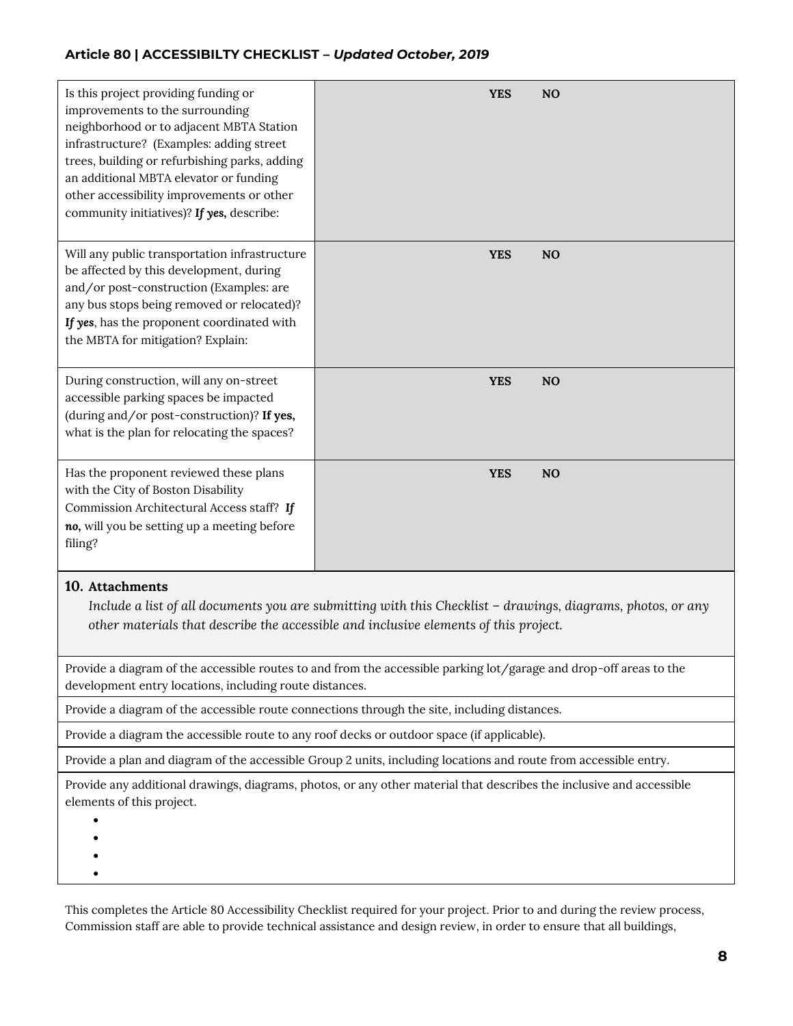| Is this project providing funding or<br>improvements to the surrounding<br>neighborhood or to adjacent MBTA Station<br>infrastructure? (Examples: adding street<br>trees, building or refurbishing parks, adding<br>an additional MBTA elevator or funding<br>other accessibility improvements or other<br>community initiatives)? If yes, describe: | <b>YES</b><br>N <sub>O</sub> |
|------------------------------------------------------------------------------------------------------------------------------------------------------------------------------------------------------------------------------------------------------------------------------------------------------------------------------------------------------|------------------------------|
| Will any public transportation infrastructure<br>be affected by this development, during<br>and/or post-construction (Examples: are<br>any bus stops being removed or relocated)?<br>If yes, has the proponent coordinated with<br>the MBTA for mitigation? Explain:                                                                                 | <b>YES</b><br>N <sub>O</sub> |
| During construction, will any on-street<br>accessible parking spaces be impacted<br>(during and/or post-construction)? If yes,<br>what is the plan for relocating the spaces?                                                                                                                                                                        | <b>YES</b><br>N <sub>O</sub> |
| Has the proponent reviewed these plans<br>with the City of Boston Disability<br>Commission Architectural Access staff? If<br>no, will you be setting up a meeting before<br>filing?                                                                                                                                                                  | <b>YES</b><br>N <sub>O</sub> |

### **10. Attachments**

*Include a list of all documents you are submitting with this Checklist – drawings, diagrams, photos, or any other materials that describe the accessible and inclusive elements of this project.* 

Provide a diagram of the accessible routes to and from the accessible parking lot/garage and drop-off areas to the development entry locations, including route distances.

Provide a diagram of the accessible route connections through the site, including distances.

Provide a diagram the accessible route to any roof decks or outdoor space (if applicable).

Provide a plan and diagram of the accessible Group 2 units, including locations and route from accessible entry.

Provide any additional drawings, diagrams, photos, or any other material that describes the inclusive and accessible elements of this project.

 $\bullet$ 

 $\bullet$ 

 $\bullet$ 

 $\bullet$ 

This completes the Article 80 Accessibility Checklist required for your project. Prior to and during the review process, Commission staff are able to provide technical assistance and design review, in order to ensure that all buildings,